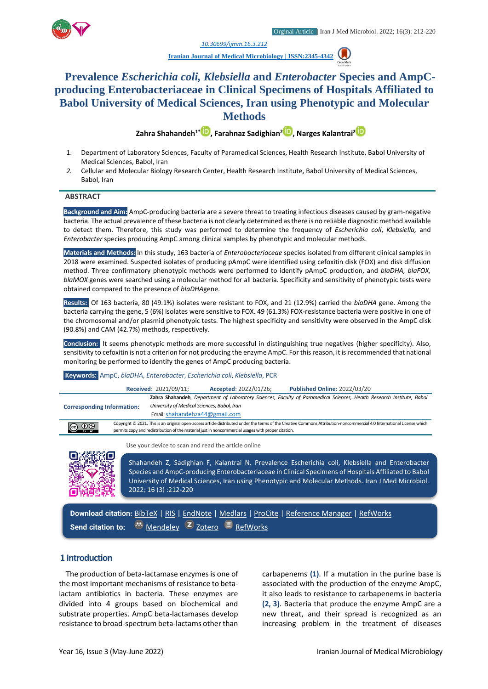

*1. [10.30699/ijmm.16.3.212](http://dx.doi.org/10.30699/ijmm.16.3.212)*

**[Iranian Journal of Medical Microbiology |](https://ijmm.ir/) ISSN:2345-4342**

# **Prevalence** *Escherichia coli, Klebsiella* **and** *Enterobacter* **Species and AmpCproducing Enterobacteriaceae in Clinical Specimens of Hospitals Affiliated to Babol University of Medical Sciences, Iran using Phenotypic and Molecular Methods**

**Zahra Shahandeh1\* [,](http://orcid.org/0000000228109521) Farahnaz Sadighian[2](http://orcid.org/0000000228449649) , Narges Kalantrai[2](http://orcid.org/0000000218300138)**

- 1. Department of Laboratory Sciences, Faculty of Paramedical Sciences, Health Research Institute, Babol University of Medical Sciences, Babol, Iran
- *2.* Cellular and Molecular Biology Research Center, Health Research Institute, Babol University of Medical Sciences, Babol, Iran

#### **ABSTRACT**

**Background and Aim:** AmpC-producing bacteria are a severe threat to treating infectious diseases caused by gram-negative bacteria. The actual prevalence of these bacteria is not clearly determined as there is no reliable diagnostic method available to detect them. Therefore, this study was performed to determine the frequency of *Escherichia coli*, *Klebsiella,* and *Enterobacter* species producing AmpC among clinical samples by phenotypic and molecular methods.

**Materials and Methods:** In this study, 163 bacteria of *Enterobacteriaceae* species isolated from different clinical samples in 2018 were examined. Suspected isolates of producing pAmpC were identified using cefoxitin disk (FOX) and disk diffusion method. Three confirmatory phenotypic methods were performed to identify pAmpC production, and *blaDHA, blaFOX, blaMOX* genes were searched using a molecular method for all bacteria. Specificity and sensitivity of phenotypic tests were obtained compared to the presence of *blaDHA*gene.

**Results:** Of 163 bacteria, 80 (49.1%) isolates were resistant to FOX, and 21 (12.9%) carried the *blaDHA* gene. Among the bacteria carrying the gene, 5 (6%) isolates were sensitive to FOX. 49 (61.3%) FOX-resistance bacteria were positive in one of the chromosomal and/or plasmid phenotypic tests. The highest specificity and sensitivity were observed in the AmpC disk (90.8%) and CAM (42.7%) methods, respectively.

**Conclusion:** It seems phenotypic methods are more successful in distinguishing true negatives (higher specificity). Also, sensitivity to cefoxitin is not a criterion for not producing the enzyme AmpC. For this reason, it is recommended that national monitoring be performed to identify the genes of AmpC producing bacteria.

#### **Keywords:** AmpC, *blaDHA*, *Enterobacter*, *Escherichia coli*, *Klebsiella*, PCR

|                                   |  | <b>Received: 2021/09/11;</b>                | Accepted: 2022/01/26;                                                                              | <b>Published Online: 2022/03/20</b>                                                                                                                                     |
|-----------------------------------|--|---------------------------------------------|----------------------------------------------------------------------------------------------------|-------------------------------------------------------------------------------------------------------------------------------------------------------------------------|
| <b>Corresponding Information:</b> |  | University of Medical Sciences, Babol, Iran |                                                                                                    | Zahra Shahandeh, Department of Laboratory Sciences, Faculty of Paramedical Sciences, Health Research Institute, Babol                                                   |
|                                   |  | Email: shahandehza44@gmail.com              |                                                                                                    |                                                                                                                                                                         |
| $\bigodot$ $\bigodot$ $\bigodot$  |  |                                             | permits copy and redistribution of the material just in noncommercial usages with proper citation. | Copyright © 2021, This is an original open-access article distributed under the terms of the Creative Commons Attribution-noncommercial 4.0 International License which |

Use your device to scan and read the article online



Shahandeh Z, Sadighian F, Kalantrai N. Prevalence Escherichia coli, Klebsiella and Enterobacter Species and AmpC-producing Enterobacteriaceae in Clinical Specimens of Hospitals Affiliated to Babol University of Medical Sciences, Iran using Phenotypic and Molecular Methods. Iran J Med Microbiol. 2022; 16 (3) :212-220

**Download citation:** [BibTeX](https://ijmm.ir/web2export.php?a_code=A-10-1738-1&sid=1&slc_lang=en&type=BibTeX) | [RIS](https://ijmm.ir/web2export.php?a_code=A-10-1738-1&sid=1&slc_lang=en&type=ris) | [EndNote](https://ijmm.ir/web2export.php?a_code=A-10-1738-1&sid=1&slc_lang=en&type=EndNote) | [Medlars](https://ijmm.ir/web2export.php?a_code=A-10-1738-1&sid=1&slc_lang=en&type=Medlars) | [ProCite](https://ijmm.ir/web2export.php?a_code=A-10-1738-1&sid=1&slc_lang=en&type=ProCite) | [Reference Manager](https://ijmm.ir/web2export.php?a_code=A-10-1738-1&sid=1&slc_lang=en&type=Reference_Manager) | [RefWorks](https://ijmm.ir/web2export.php?a_code=A-10-1738-1&sid=1&slc_lang=en&type=RefWorks) Send citation to: **[Mendeley](http://www.mendeley.com/import/?url=https://ijmm.ir/article-1-1480-en.html) Z** [Zotero](https://ijmm.ir/web2export.php?a_code=A-10-1738-1&sid=1&slc_lang=en&type=ris) **E** [RefWorks](http://www.refworks.com/express/ExpressImport.asp?vendor=Iran-J-Med-Microbiol&filter=RefWorks%20Tagged%20Format&encoding=65001&url=http%3A%2F%2Fijmm.ir%2Farticle-1-1480-en.html)

### **1 Introduction**

The production of beta-lactamase enzymes is one of the most important mechanisms of resistance to betalactam antibiotics in bacteria. These enzymes are divided into 4 groups based on biochemical and substrate properties. AmpC beta-lactamases develop resistance to broad-spectrum beta-lactams other than

carbapenems **(1)**. If a mutation in the purine base is associated with the production of the enzyme AmpC, it also leads to resistance to carbapenems in bacteria **(2, 3)**. Bacteria that produce the enzyme AmpC are a new threat, and their spread is recognized as an increasing problem in the treatment of diseases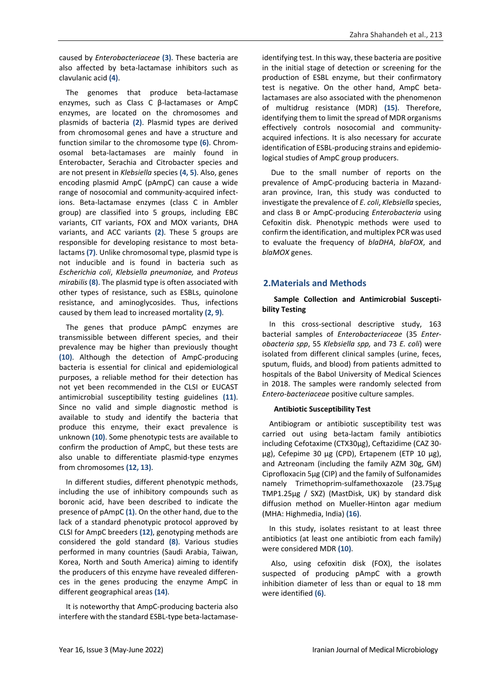caused by *Enterobacteriaceae* **(3)**. These bacteria are also affected by beta-lactamase inhibitors such as clavulanic acid **(4)**.

The genomes that produce beta-lactamase enzymes, such as Class C β-lactamases or AmpC enzymes, are located on the chromosomes and plasmids of bacteria **(2)**. Plasmid types are derived from chromosomal genes and have a structure and function similar to the chromosome type **(6)**. Chromosomal beta-lactamases are mainly found in Enterobacter, Serachia and Citrobacter species and are not present in *Klebsiella* species **(4, 5)**. Also, genes encoding plasmid AmpC (pAmpC) can cause a wide range of nosocomial and community-acquired infections. Beta-lactamase enzymes (class C in Ambler group) are classified into 5 groups, including EBC variants, CIT variants, FOX and MOX variants, DHA variants, and ACC variants **(2)**. These 5 groups are responsible for developing resistance to most betalactams **(7)**. Unlike chromosomal type, plasmid type is not inducible and is found in bacteria such as *Escherichia coli*, *Klebsiella pneumoniae,* and *Proteus mirabilis* **(8)**. The plasmid type is often associated with other types of resistance, such as ESBLs, quinolone resistance, and aminoglycosides. Thus, infections caused by them lead to increased mortality **(2, 9)**.

The genes that produce pAmpC enzymes are transmissible between different species, and their prevalence may be higher than previously thought **(10)**. Although the detection of AmpC-producing bacteria is essential for clinical and epidemiological purposes, a reliable method for their detection has not yet been recommended in the CLSI or EUCAST antimicrobial susceptibility testing guidelines **(11)**. Since no valid and simple diagnostic method is available to study and identify the bacteria that produce this enzyme, their exact prevalence is unknown **(10)**. Some phenotypic tests are available to confirm the production of AmpC, but these tests are also unable to differentiate plasmid-type enzymes from chromosomes **(12, 13)**.

In different studies, different phenotypic methods, including the use of inhibitory compounds such as boronic acid, have been described to indicate the presence of pAmpC **(1)**. On the other hand, due to the lack of a standard phenotypic protocol approved by CLSI for AmpC breeders **(12)**, genotyping methods are considered the gold standard **(8)**. Various studies performed in many countries (Saudi Arabia, Taiwan, Korea, North and South America) aiming to identify the producers of this enzyme have revealed differences in the genes producing the enzyme AmpC in different geographical areas **(14)**.

It is noteworthy that AmpC-producing bacteria also interfere with the standard ESBL-type beta-lactamaseidentifying test. In this way, these bacteria are positive in the initial stage of detection or screening for the production of ESBL enzyme, but their confirmatory test is negative. On the other hand, AmpC betalactamases are also associated with the phenomenon of multidrug resistance (MDR) **(15)**. Therefore, identifying them to limit the spread of MDR organisms effectively controls nosocomial and communityacquired infections. It is also necessary for accurate identification of ESBL-producing strains and epidemiological studies of AmpC group producers.

Due to the small number of reports on the prevalence of AmpC-producing bacteria in Mazandaran province, Iran, this study was conducted to investigate the prevalence of *E. coli*, *Klebsiella* species, and class B or AmpC-producing *Enterobacteria* using Cefoxitin disk. Phenotypic methods were used to confirm the identification, and multiplex PCR was used to evaluate the frequency of *blaDHA*, *blaFOX*, and *blaMOX* genes.

## **2.Materials and Methods**

## **Sample Collection and Antimicrobial Susceptibility Testing**

In this cross-sectional descriptive study, 163 bacterial samples of *Enterobacteriaceae* (35 *Enterobacteria spp*, 55 *Klebsiella spp,* and 73 *E. coli*) were isolated from different clinical samples (urine, feces, sputum, fluids, and blood) from patients admitted to hospitals of the Babol University of Medical Sciences in 2018. The samples were randomly selected from *Entero-bacteriaceae* positive culture samples.

#### **Antibiotic Susceptibility Test**

Antibiogram or antibiotic susceptibility test was carried out using beta-lactam family antibiotics including Cefotaxime (CTX30μg), Ceftazidime (CAZ 30 μg), Cefepime 30 μg (CPD), Ertapenem (ETP 10 μg), and Aztreonam (including the family AZM 30g, GM) Ciprofloxacin 5μg (CIP) and the family of Sulfonamides namely Trimethoprim-sulfamethoxazole (23.75μg TMP1.25μg / SXZ) (MastDisk, UK) by standard disk diffusion method on Mueller-Hinton agar medium (MHA: Highmedia, India) **(16)**.

In this study, isolates resistant to at least three antibiotics (at least one antibiotic from each family) were considered MDR **(10)**.

Also, using cefoxitin disk (FOX), the isolates suspected of producing pAmpC with a growth inhibition diameter of less than or equal to 18 mm were identified **(6)**.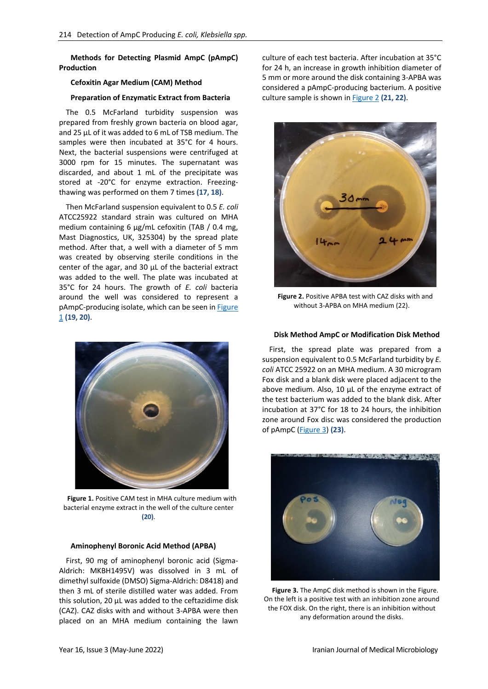**Methods for Detecting Plasmid AmpC (pAmpC) Production**

## **Cefoxitin Agar Medium (CAM) Method**

#### **Preparation of Enzymatic Extract from Bacteria**

The 0.5 McFarland turbidity suspension was prepared from freshly grown bacteria on blood agar, and 25 μL of it was added to 6 mL of TSB medium. The samples were then incubated at 35°C for 4 hours. Next, the bacterial suspensions were centrifuged at 3000 rpm for 15 minutes. The supernatant was discarded, and about 1 mL of the precipitate was stored at -20°C for enzyme extraction. Freezingthawing was performed on them 7 times **(17, 18)**.

Then McFarland suspension equivalent to 0.5 *E. coli* ATCC25922 standard strain was cultured on MHA medium containing 6 μg/mL cefoxitin (TAB / 0.4 mg, Mast Diagnostics, UK, 325304) by the spread plate method. After that, a well with a diameter of 5 mm was created by observing sterile conditions in the center of the agar, and 30 μL of the bacterial extract was added to the well. The plate was incubated at 35°C for 24 hours. The growth of *E. coli* bacteria around the well was considered to represent a pAmpC-producing isolate, which can be seen i[n Figure](#page-2-0)  [1](#page-2-0) **(19, 20)**.



**Figure 1.** Positive CAM test in MHA culture medium with bacterial enzyme extract in the well of the culture center **(20)**.

#### <span id="page-2-0"></span>**Aminophenyl Boronic Acid Method (APBA)**

First, 90 mg of aminophenyl boronic acid (Sigma-Aldrich: MKBH1495V) was dissolved in 3 mL of dimethyl sulfoxide (DMSO) Sigma-Aldrich: D8418) and then 3 mL of sterile distilled water was added. From this solution, 20 μL was added to the ceftazidime disk (CAZ). CAZ disks with and without 3-APBA were then placed on an MHA medium containing the lawn

culture of each test bacteria. After incubation at 35°C for 24 h, an increase in growth inhibition diameter of 5 mm or more around the disk containing 3-APBA was considered a pAmpC-producing bacterium. A positive culture sample is shown in [Figure 2](#page-2-1) **(21, 22)**.



**Figure 2.** Positive APBA test with CAZ disks with and without 3-APBA on MHA medium (22).

#### <span id="page-2-1"></span>**Disk Method AmpC or Modification Disk Method**

First, the spread plate was prepared from a suspension equivalent to 0.5 McFarland turbidity by *E. coli* ATCC 25922 on an MHA medium. A 30 microgram Fox disk and a blank disk were placed adjacent to the above medium. Also, 10 μL of the enzyme extract of the test bacterium was added to the blank disk. After incubation at 37°C for 18 to 24 hours, the inhibition zone around Fox disc was considered the production of pAmpC [\(Figure 3\)](#page-2-2) **(23)**.

<span id="page-2-2"></span>

**Figure 3.** The AmpC disk method is shown in the Figure. On the left is a positive test with an inhibition zone around the FOX disk. On the right, there is an inhibition without any deformation around the disks.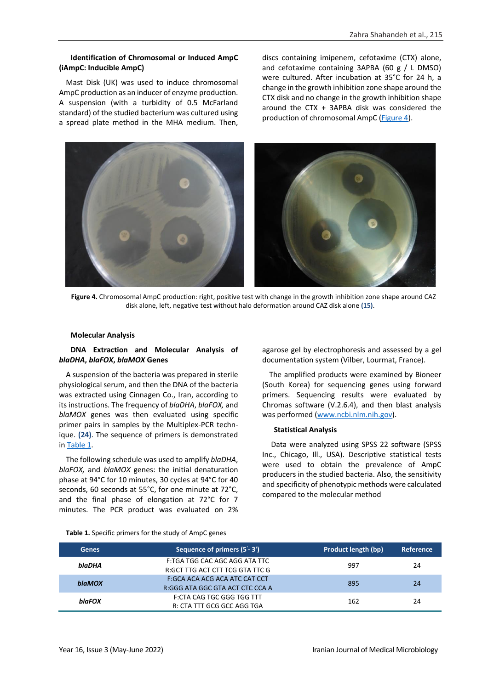## **Identification of Chromosomal or Induced AmpC (iAmpC: Inducible AmpC)**

Mast Disk (UK) was used to induce chromosomal AmpC production as an inducer of enzyme production. A suspension (with a turbidity of 0.5 McFarland standard) of the studied bacterium was cultured using a spread plate method in the MHA medium. Then,

discs containing imipenem, cefotaxime (CTX) alone, and cefotaxime containing 3APBA (60 g / L DMSO) were cultured. After incubation at 35°C for 24 h, a change in the growth inhibition zone shape around the CTX disk and no change in the growth inhibition shape around the CTX + 3APBA disk was considered the production of chromosomal AmpC [\(Figure 4\)](#page-3-0).



**Figure 4.** Chromosomal AmpC production: right, positive test with change in the growth inhibition zone shape around CAZ disk alone, left, negative test without halo deformation around CAZ disk alone **(15)**.

#### <span id="page-3-0"></span>**Molecular Analysis**

### **DNA Extraction and Molecular Analysis of**  *blaDHA***,** *blaFOX***,** *blaMOX* **Genes**

A suspension of the bacteria was prepared in sterile physiological serum, and then the DNA of the bacteria was extracted using Cinnagen Co., Iran, according to its instructions. The frequency of *blaDHA*, *blaFOX,* and *blaMOX* genes was then evaluated using specific primer pairs in samples by the Multiplex-PCR technique. **(24)**. The sequence of primers is demonstrated in [Table 1.](#page-3-1)

The following schedule was used to amplify *blaDHA*, *blaFOX,* and *blaMOX* genes: the initial denaturation phase at 94°C for 10 minutes, 30 cycles at 94°C for 40 seconds, 60 seconds at 55°C, for one minute at 72°C, and the final phase of elongation at 72°C for 7 minutes. The PCR product was evaluated on 2%

agarose gel by electrophoresis and assessed by a gel documentation system (Vilber, Lourmat, France).

The amplified products were examined by Bioneer (South Korea) for sequencing genes using forward primers. Sequencing results were evaluated by Chromas software (V.2.6.4), and then blast analysis was performed [\(www.ncbi.nlm.nih.gov\)](http://www.ncbi.nlm.nih.gov/).

#### **Statistical Analysis**

Data were analyzed using SPSS 22 software (SPSS Inc., Chicago, Ill., USA). Descriptive statistical tests were used to obtain the prevalence of AmpC producers in the studied bacteria. Also, the sensitivity and specificity of phenotypic methods were calculated compared to the molecular method

<span id="page-3-1"></span>

| <b>Genes</b>  | Sequence of primers (5'-3')                                      | Product length (bp) | Reference |
|---------------|------------------------------------------------------------------|---------------------|-----------|
| blaDHA        | F:TGA TGG CAC AGC AGG ATA TTC<br>R:GCT TTG ACT CTT TCG GTA TTC G | 997                 | 24        |
| <b>blaMOX</b> | F:GCA ACA ACG ACA ATC CAT CCT<br>R:GGG ATA GGC GTA ACT CTC CCA A | 895                 | 24        |
| blaFOX        | <b>F:CTA CAG TGC GGG TGG TTT</b><br>R: CTA TTT GCG GCC AGG TGA   | 162                 | 24        |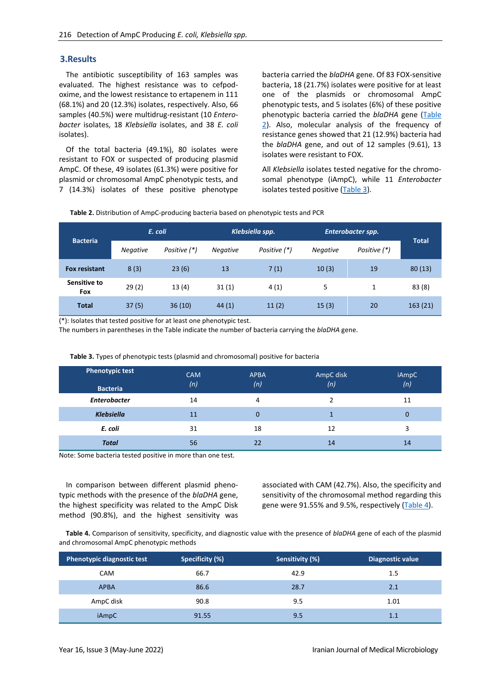## **3.Results**

The antibiotic susceptibility of 163 samples was evaluated. The highest resistance was to cefpodoxime, and the lowest resistance to ertapenem in 111 (68.1%) and 20 (12.3%) isolates, respectively. Also, 66 samples (40.5%) were multidrug-resistant (10 *Enterobacter* isolates, 18 *Klebsiella* isolates, and 38 *E. coli* isolates).

Of the total bacteria (49.1%), 80 isolates were resistant to FOX or suspected of producing plasmid AmpC. Of these, 49 isolates (61.3%) were positive for plasmid or chromosomal AmpC phenotypic tests, and 7 (14.3%) isolates of these positive phenotype bacteria carried the *blaDHA* gene. Of 83 FOX-sensitive bacteria, 18 (21.7%) isolates were positive for at least one of the plasmids or chromosomal AmpC phenotypic tests, and 5 isolates (6%) of these positive phenotypic bacteria carried the *blaDHA* gene [\(Table](#page-4-0)  [2\)](#page-4-0). Also, molecular analysis of the frequency of resistance genes showed that 21 (12.9%) bacteria had the *blaDHA* gene, and out of 12 samples (9.61), 13 isolates were resistant to FOX.

All *Klebsiella* isolates tested negative for the chromosomal phenotype (iAmpC), while 11 *Enterobacter* isolates tested positive [\(Table 3\)](#page-4-1).

<span id="page-4-0"></span>**Table 2.** Distribution of AmpC-producing bacteria based on phenotypic tests and PCR

| <b>Bacteria</b>            | E. coli         |              | Klebsiella spp. |              | Enterobacter spp. |              |              |
|----------------------------|-----------------|--------------|-----------------|--------------|-------------------|--------------|--------------|
|                            | <b>Negative</b> | Positive (*) | <b>Negative</b> | Positive (*) | <b>Negative</b>   | Positive (*) | <b>Total</b> |
| <b>Fox resistant</b>       | 8(3)            | 23(6)        | 13              | 7(1)         | 10(3)             | 19           | 80(13)       |
| Sensitive to<br><b>Fox</b> | 29(2)           | 13(4)        | 31(1)           | 4(1)         | 5                 | 1            | 83(8)        |
| <b>Total</b>               | 37(5)           | 36(10)       | 44(1)           | 11(2)        | 15(3)             | 20           | 163(21)      |

(\*): Isolates that tested positive for at least one phenotypic test.

The numbers in parentheses in the Table indicate the number of bacteria carrying the *blaDHA* gene.

<span id="page-4-1"></span>

| <b>Phenotypic test</b><br><b>Bacteria</b> | <b>CAM</b><br>(n) | <b>APBA</b><br>(n) | AmpC disk<br>(n) | iAmpC<br>(n) |
|-------------------------------------------|-------------------|--------------------|------------------|--------------|
| <b>Enterobacter</b>                       | 14                | 4                  |                  | 11           |
| <b>Klebsiella</b>                         | 11                | $\Omega$           |                  | 0            |
| E. coli                                   | 31                | 18                 | 12               | 3            |
| <b>Total</b>                              | 56                | 22                 | 14               | 14           |

**Table 3.** Types of phenotypic tests (plasmid and chromosomal) positive for bacteria

Note: Some bacteria tested positive in more than one test.

In comparison between different plasmid phenotypic methods with the presence of the *blaDHA* gene, the highest specificity was related to the AmpC Disk method (90.8%), and the highest sensitivity was associated with CAM (42.7%). Also, the specificity and sensitivity of the chromosomal method regarding this gene were 91.55% and 9.5%, respectively [\(Table 4\)](#page-4-2).

<span id="page-4-2"></span>**Table 4.** Comparison of sensitivity, specificity, and diagnostic value with the presence of *blaDHA* gene of each of the plasmid and chromosomal AmpC phenotypic methods

| <b>Phenotypic diagnostic test</b> | Specificity (%) | Sensitivity (%) | <b>Diagnostic value</b> |
|-----------------------------------|-----------------|-----------------|-------------------------|
| <b>CAM</b>                        | 66.7            | 42.9            | 1.5                     |
| <b>APBA</b>                       | 86.6            | 28.7            | 2.1                     |
| AmpC disk                         | 90.8            | 9.5             | 1.01                    |
| iAmpC                             | 91.55           | 9.5             | 1.1                     |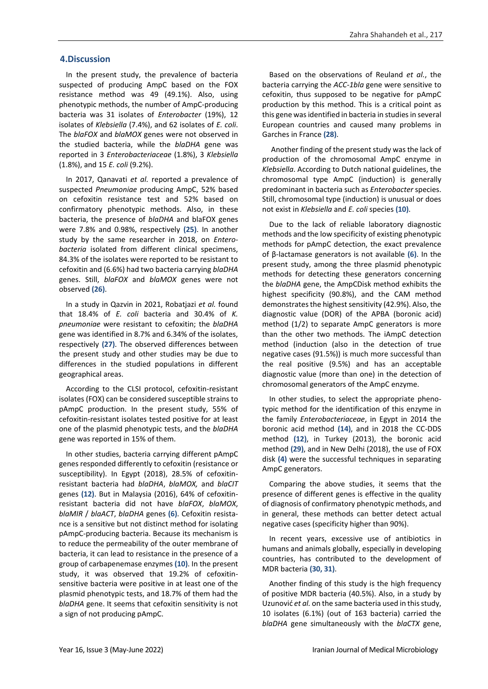## **4.Discussion**

In the present study, the prevalence of bacteria suspected of producing AmpC based on the FOX resistance method was 49 (49.1%). Also, using phenotypic methods, the number of AmpC-producing bacteria was 31 isolates of *Enterobacter* (19%), 12 isolates of *Klebsiella* (7.4%), and 62 isolates of *E. coli*. The *blaFOX* and *blaMOX* genes were not observed in the studied bacteria, while the *blaDHA* gene was reported in 3 *Enterobacteriaceae* (1.8%), 3 *Klebsiella* (1.8%), and 15 *E. coli* (9.2%).

In 2017, Qanavati *et al.* reported a prevalence of suspected *Pneumoniae* producing AmpC, 52% based on cefoxitin resistance test and 52% based on confirmatory phenotypic methods. Also, in these bacteria, the presence of *blaDHA* and blaFOX genes were 7.8% and 0.98%, respectively **(25)**. In another study by the same researcher in 2018, on *Enterobacteria* isolated from different clinical specimens, 84.3% of the isolates were reported to be resistant to cefoxitin and (6.6%) had two bacteria carrying *blaDHA* genes. Still, *blaFOX* and *blaMOX* genes were not observed **(26)**.

In a study in Qazvin in 2021, Robatjazi *et al.* found that 18.4% of *E. coli* bacteria and 30.4% of *K. pneumoniae* were resistant to cefoxitin; the *blaDHA* gene was identified in 8.7% and 6.34% of the isolates, respectively **(27)**. The observed differences between the present study and other studies may be due to differences in the studied populations in different geographical areas.

According to the CLSI protocol, cefoxitin-resistant isolates (FOX) can be considered susceptible strains to pAmpC production. In the present study, 55% of cefoxitin-resistant isolates tested positive for at least one of the plasmid phenotypic tests, and the *blaDHA* gene was reported in 15% of them.

In other studies, bacteria carrying different pAmpC genes responded differently to cefoxitin (resistance or susceptibility). In Egypt (2018), 28.5% of cefoxitinresistant bacteria had *blaDHA*, *blaMOX,* and *blaCIT* genes **(12)**. But in Malaysia (2016), 64% of cefoxitinresistant bacteria did not have *blaFOX*, *blaMOX*, *blaMIR* / *blaACT*, *blaDHA* genes **(6)**. Cefoxitin resistance is a sensitive but not distinct method for isolating pAmpC-producing bacteria. Because its mechanism is to reduce the permeability of the outer membrane of bacteria, it can lead to resistance in the presence of a group of carbapenemase enzymes **(10)**. In the present study, it was observed that 19.2% of cefoxitinsensitive bacteria were positive in at least one of the plasmid phenotypic tests, and 18.7% of them had the *blaDHA* gene. It seems that cefoxitin sensitivity is not a sign of not producing pAmpC.

Based on the observations of Reuland *et al.*, the bacteria carrying the *ACC-1bla* gene were sensitive to cefoxitin, thus supposed to be negative for pAmpC production by this method. This is a critical point as this gene was identified in bacteria in studies in several European countries and caused many problems in Garches in France **(28)**.

Another finding of the present study was the lack of production of the chromosomal AmpC enzyme in *Klebsiella*. According to Dutch national guidelines, the chromosomal type AmpC (induction) is generally predominant in bacteria such as *Enterobacter* species. Still, chromosomal type (induction) is unusual or does not exist in *Klebsiella* and *E. coli* species **(10)**.

Due to the lack of reliable laboratory diagnostic methods and the low specificity of existing phenotypic methods for pAmpC detection, the exact prevalence of β-lactamase generators is not available **(6)**. In the present study, among the three plasmid phenotypic methods for detecting these generators concerning the *blaDHA* gene, the AmpCDisk method exhibits the highest specificity (90.8%), and the CAM method demonstrates the highest sensitivity (42.9%). Also, the diagnostic value (DOR) of the APBA (boronic acid) method (1/2) to separate AmpC generators is more than the other two methods. The iAmpC detection method (induction (also in the detection of true negative cases (91.5%)) is much more successful than the real positive (9.5%) and has an acceptable diagnostic value (more than one) in the detection of chromosomal generators of the AmpC enzyme.

In other studies, to select the appropriate phenotypic method for the identification of this enzyme in the family *Enterobacteriaceae*, in Egypt in 2014 the boronic acid method **(14)**, and in 2018 the CC-DDS method **(12)**, in Turkey (2013), the boronic acid method **(29)**, and in New Delhi (2018), the use of FOX disk **(4)** were the successful techniques in separating AmpC generators.

Comparing the above studies, it seems that the presence of different genes is effective in the quality of diagnosis of confirmatory phenotypic methods, and in general, these methods can better detect actual negative cases (specificity higher than 90%).

In recent years, excessive use of antibiotics in humans and animals globally, especially in developing countries, has contributed to the development of MDR bacteria **(30, 31)**.

Another finding of this study is the high frequency of positive MDR bacteria (40.5%). Also, in a study by Uzunović *et al.* on the same bacteria used in this study, 10 isolates (6.1%) (out of 163 bacteria) carried the *blaDHA* gene simultaneously with the *blaCTX* gene,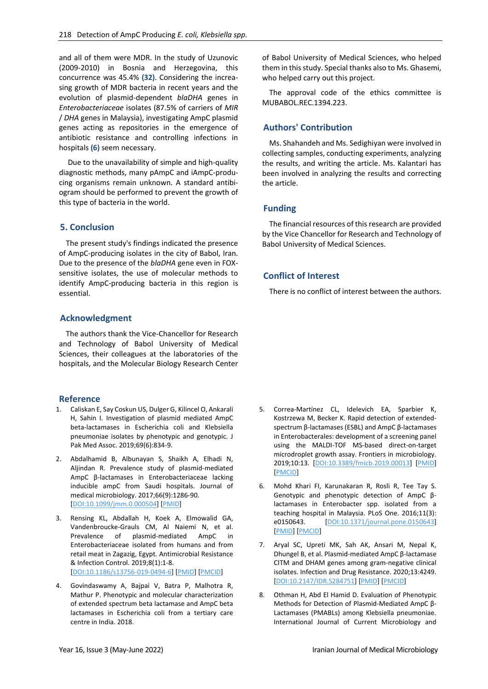and all of them were MDR. In the study of Uzunovic (2009-2010) in Bosnia and Herzegovina, this concurrence was 45.4% **(32)**. Considering the increasing growth of MDR bacteria in recent years and the evolution of plasmid-dependent *blaDHA* genes in *Enterobacteriaceae* isolates (87.5% of carriers of *MIR* / *DHA* genes in Malaysia), investigating AmpC plasmid genes acting as repositories in the emergence of antibiotic resistance and controlling infections in hospitals **(6)** seem necessary.

Due to the unavailability of simple and high-quality diagnostic methods, many pAmpC and iAmpC-producing organisms remain unknown. A standard antibiogram should be performed to prevent the growth of this type of bacteria in the world.

## **5. Conclusion**

The present study's findings indicated the presence of AmpC-producing isolates in the city of Babol, Iran. Due to the presence of the *blaDHA* gene even in FOXsensitive isolates, the use of molecular methods to identify AmpC-producing bacteria in this region is essential.

## **Acknowledgment**

The authors thank the Vice-Chancellor for Research and Technology of Babol University of Medical Sciences, their colleagues at the laboratories of the hospitals, and the Molecular Biology Research Center

## **Reference**

- 1. Caliskan E, Say Coskun US, Dulger G, Kilincel O, Ankarali H, Sahin I. Investigation of plasmid mediated AmpC beta-lactamases in Escherichia coli and Klebsiella pneumoniae isolates by phenotypic and genotypic. J Pak Med Assoc. 2019;69(6):834-9.
- 2. Abdalhamid B, Albunayan S, Shaikh A, Elhadi N, Aljindan R. Prevalence study of plasmid-mediated AmpC β-lactamases in Enterobacteriaceae lacking inducible ampC from Saudi hospitals. Journal of medical microbiology. 2017;66(9):1286-90. [\[DOI:10.1099/jmm.0.000504\]](https://doi.org/10.1099/jmm.0.000504) [\[PMID\]](https://www.ncbi.nlm.nih.gov/pubmed/28820112)
- 3. Rensing KL, Abdallah H, Koek A, Elmowalid GA, Vandenbroucke-Grauls CM, Al Naiemi N, et al. Prevalence of plasmid-mediated AmpC in Enterobacteriaceae isolated from humans and from retail meat in Zagazig, Egypt. Antimicrobial Resistance & Infection Control. 2019;8(1):1-8. [\[DOI:10.1186/s13756-019-0494-6\]](https://doi.org/10.1186/s13756-019-0494-6) [\[PMID\]](https://www.ncbi.nlm.nih.gov/pubmed/30891235) [\[PMCID\]](http://www.ncbi.nlm.nih.gov/pmc/articles/PMC6390348)
- 4. Govindaswamy A, Bajpai V, Batra P, Malhotra R, Mathur P. Phenotypic and molecular characterization of extended spectrum beta lactamase and AmpC beta lactamases in Escherichia coli from a tertiary care centre in India. 2018.

of Babol University of Medical Sciences, who helped them in this study. Special thanks also to Ms. Ghasemi, who helped carry out this project.

The approval code of the ethics committee is MUBABOL.REC.1394.223.

## **Authors' Contribution**

Ms. Shahandeh and Ms. Sedighiyan were involved in collecting samples, conducting experiments, analyzing the results, and writing the article. Ms. Kalantari has been involved in analyzing the results and correcting the article.

## **Funding**

The financial resources of this research are provided by the Vice Chancellor for Research and Technology of Babol University of Medical Sciences.

## **Conflict of Interest**

There is no conflict of interest between the authors.

- 5. Correa-Martínez CL, Idelevich EA, Sparbier K, Kostrzewa M, Becker K. Rapid detection of extendedspectrum β-lactamases (ESBL) and AmpC β-lactamases in Enterobacterales: development of a screening panel using the MALDI-TOF MS-based direct-on-target microdroplet growth assay. Frontiers in microbiology. 2019;10:13. [\[DOI:10.3389/fmicb.2019.00013\]](https://doi.org/10.3389/fmicb.2019.00013) [\[PMID\]](https://www.ncbi.nlm.nih.gov/pubmed/30733710) [\[PMCID\]](http://www.ncbi.nlm.nih.gov/pmc/articles/PMC6353820)
- 6. Mohd Khari FI, Karunakaran R, Rosli R, Tee Tay S. Genotypic and phenotypic detection of AmpC βlactamases in Enterobacter spp. isolated from a teaching hospital in Malaysia. PLoS One. 2016;11(3): e0150643. [\[DOI:10.1371/journal.pone.0150643\]](https://doi.org/10.1371/journal.pone.0150643) [\[PMID\]](https://www.ncbi.nlm.nih.gov/pubmed/26963619) [\[PMCID\]](http://www.ncbi.nlm.nih.gov/pmc/articles/PMC4786217)
- 7. Aryal SC, Upreti MK, Sah AK, Ansari M, Nepal K, Dhungel B, et al. Plasmid-mediated AmpC β-lactamase CITM and DHAM genes among gram-negative clinical isolates. Infection and Drug Resistance. 2020;13:4249. [\[DOI:10.2147/IDR.S284751\]](https://doi.org/10.2147/IDR.S284751) [\[PMID\]](https://www.ncbi.nlm.nih.gov/pubmed/33262619) [\[PMCID\]](http://www.ncbi.nlm.nih.gov/pmc/articles/PMC7699442)
- 8. Othman H, Abd El Hamid D. Evaluation of Phenotypic Methods for Detection of Plasmid-Mediated AmpC β-Lactamases (PMABLs) among Klebsiella pneumoniae. International Journal of Current Microbiology and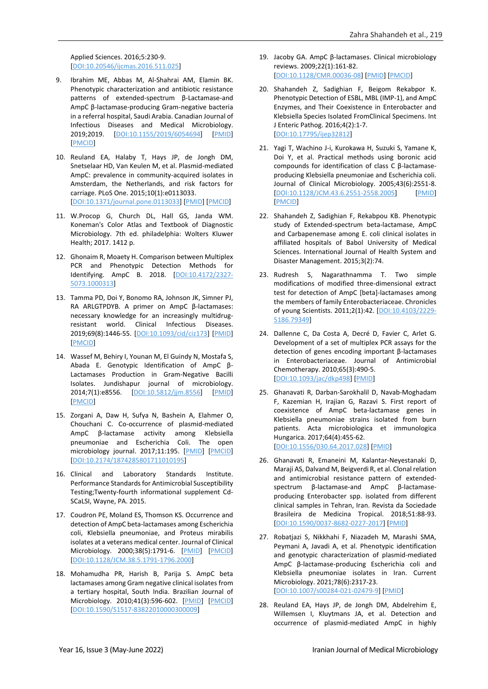Applied Sciences. 2016;5:230-9. [\[DOI:10.20546/ijcmas.2016.511.025\]](https://doi.org/10.20546/ijcmas.2016.511.025)

- 9. Ibrahim ME, Abbas M, Al-Shahrai AM, Elamin BK. Phenotypic characterization and antibiotic resistance patterns of extended-spectrum β-Lactamase-and AmpC β-lactamase-producing Gram-negative bacteria in a referral hospital, Saudi Arabia. Canadian Journal of Infectious Diseases and Medical Microbiology. 2019;2019. [\[DOI:10.1155/2019/6054694\]](https://doi.org/10.1155/2019/6054694) [\[PMID\]](https://www.ncbi.nlm.nih.gov/pubmed/31346353) [\[PMCID\]](http://www.ncbi.nlm.nih.gov/pmc/articles/PMC6617866)
- 10. Reuland EA, Halaby T, Hays JP, de Jongh DM, Snetselaar HD, Van Keulen M, et al. Plasmid-mediated AmpC: prevalence in community-acquired isolates in Amsterdam, the Netherlands, and risk factors for carriage. PLoS One. 2015;10(1):e0113033. [\[DOI:10.1371/journal.pone.0113033\]](https://doi.org/10.1371/journal.pone.0113033) [\[PMID\]](https://www.ncbi.nlm.nih.gov/pubmed/25587716) [\[PMCID\]](http://www.ncbi.nlm.nih.gov/pmc/articles/PMC4294687)
- 11. W.Procop G, Church DL, Hall GS, Janda WM. Koneman's Color Atlas and Textbook of Diagnostic Microbiology. 7th ed. philadelphia: Wolters Kluwer Health; 2017. 1412 p.
- 12. Ghonaim R, Moaety H. Comparison between Multiplex PCR and Phenotypic Detection Methods for Identifying. AmpC B. 2018. [\[DOI:10.4172/2327-](https://doi.org/10.4172/2327-5073.1000313) [5073.1000313\]](https://doi.org/10.4172/2327-5073.1000313)
- 13. Tamma PD, Doi Y, Bonomo RA, Johnson JK, Simner PJ, RA ARLGTPDYB. A primer on AmpC β-lactamases: necessary knowledge for an increasingly multidrugresistant world. Clinical Infectious Diseases. 2019;69(8):1446-55. [\[DOI:10.1093/cid/ciz173\]](https://doi.org/10.1093/cid/ciz173) [\[PMID\]](https://www.ncbi.nlm.nih.gov/pubmed/30838380) [\[PMCID\]](http://www.ncbi.nlm.nih.gov/pmc/articles/PMC6763639)
- 14. Wassef M, Behiry I, Younan M, El Guindy N, Mostafa S, Abada E. Genotypic Identification of AmpC β-Lactamases Production in Gram-Negative Bacilli Isolates. Jundishapur journal of microbiology. 2014;7(1):e8556. [\[DOI:10.5812/jjm.8556\]](https://doi.org/10.5812/jjm.8556) [\[PMID\]](https://www.ncbi.nlm.nih.gov/pubmed/25147649) [\[PMCID\]](http://www.ncbi.nlm.nih.gov/pmc/articles/PMC4138665)
- 15. Zorgani A, Daw H, Sufya N, Bashein A, Elahmer O, Chouchani C. Co-occurrence of plasmid-mediated AmpC β-lactamase activity among Klebsiella pneumoniae and Escherichia Coli. The open microbiology journal. 2017;11:195. [\[PMID\]](https://www.ncbi.nlm.nih.gov/pubmed/29151996) [\[PMCID\]](http://www.ncbi.nlm.nih.gov/pmc/articles/PMC5678236) [\[DOI:10.2174/1874285801711010195\]](https://doi.org/10.2174/1874285801711010195)
- 16. Clinical and Laboratory Standards Institute. Performance Standards for Antimicrobial Susceptibility Testing;Twenty-fourth informational supplement Cd-SCaLSI, Wayne, PA. 2015.
- 17. Coudron PE, Moland ES, Thomson KS. Occurrence and detection of AmpC beta-lactamases among Escherichia coli, Klebsiella pneumoniae, and Proteus mirabilis isolates at a veterans medical center. Journal of Clinical Microbiology. 2000;38(5):1791-6. [\[PMID\]](https://www.ncbi.nlm.nih.gov/pubmed/10790101) [\[PMCID\]](http://www.ncbi.nlm.nih.gov/pmc/articles/PMC86590) [\[DOI:10.1128/JCM.38.5.1791-1796.2000\]](https://doi.org/10.1128/JCM.38.5.1791-1796.2000)
- 18. Mohamudha PR, Harish B, Parija S. AmpC beta lactamases among Gram negative clinical isolates from a tertiary hospital, South India. Brazilian Journal of Microbiology. 2010;41(3):596-602. [\[PMID\]](https://www.ncbi.nlm.nih.gov/pubmed/24031534) [\[PMCID\]](http://www.ncbi.nlm.nih.gov/pmc/articles/PMC3768642) [\[DOI:10.1590/S1517-83822010000300009\]](https://doi.org/10.1590/S1517-83822010000300009)
- 19. Jacoby GA. AmpC β-lactamases. Clinical microbiology reviews. 2009;22(1):161-82. [\[DOI:10.1128/CMR.00036-08\]](https://doi.org/10.1128/CMR.00036-08) [\[PMID\]](https://www.ncbi.nlm.nih.gov/pubmed/19136439) [\[PMCID\]](http://www.ncbi.nlm.nih.gov/pmc/articles/PMC2620637)
- 20. Shahandeh Z, Sadighian F, Beigom Rekabpor K. Phenotypic Detection of ESBL, MBL (IMP-1), and AmpC Enzymes, and Their Coexistence in Enterobacter and Klebsiella Species Isolated FromClinical Specimens. Int J Enteric Pathog. 2016;4(2):1-7. [\[DOI:10.17795/ijep32812\]](https://doi.org/10.17795/ijep32812)
- 21. Yagi T, Wachino J-i, Kurokawa H, Suzuki S, Yamane K, Doi Y, et al. Practical methods using boronic acid compounds for identification of class C β-lactamaseproducing Klebsiella pneumoniae and Escherichia coli. Journal of Clinical Microbiology. 2005;43(6):2551-8. [\[DOI:10.1128/JCM.43.6.2551-2558.2005\]](https://doi.org/10.1128/JCM.43.6.2551-2558.2005) [\[PMID\]](https://www.ncbi.nlm.nih.gov/pubmed/15956362) [\[PMCID\]](http://www.ncbi.nlm.nih.gov/pmc/articles/PMC1151917)
- 22. Shahandeh Z, Sadighian F, Rekabpou KB. Phenotypic study of Extended-spectrum beta-lactamase, AmpC and Carbapenemase among E. coli clinical isolates in affiliated hospitals of Babol University of Medical Sciences. International Journal of Health System and Disaster Management. 2015;3(2):74.
- 23. Rudresh S, Nagarathnamma T. Two simple modifications of modified three-dimensional extract test for detection of AmpC [beta]-lactamases among the members of family Enterobacteriaceae. Chronicles of young Scientists. 2011;2(1):42. [\[DOI:10.4103/2229-](https://doi.org/10.4103/2229-5186.79349) [5186.79349\]](https://doi.org/10.4103/2229-5186.79349)
- 24. Dallenne C, Da Costa A, Decré D, Favier C, Arlet G. Development of a set of multiplex PCR assays for the detection of genes encoding important β-lactamases in Enterobacteriaceae. Journal of Antimicrobial Chemotherapy. 2010;65(3):490-5. [\[DOI:10.1093/jac/dkp498\]](https://doi.org/10.1093/jac/dkp498) [\[PMID\]](https://www.ncbi.nlm.nih.gov/pubmed/20071363)
- 25. Ghanavati R, Darban-Sarokhalil D, Navab-Moghadam F, Kazemian H, Irajian G, Razavi S. First report of coexistence of AmpC beta-lactamase genes in Klebsiella pneumoniae strains isolated from burn patients. Acta microbiologica et immunologica Hungarica. 2017;64(4):455-62. [\[DOI:10.1556/030.64.2017.028\]](https://doi.org/10.1556/030.64.2017.028) [\[PMID\]](https://www.ncbi.nlm.nih.gov/pubmed/28859497)
- 26. Ghanavati R, Emaneini M, Kalantar-Neyestanaki D, Maraji AS, Dalvand M, Beigverdi R, et al. Clonal relation and antimicrobial resistance pattern of extendedspectrum β-lactamase-and AmpC β-lactamaseproducing Enterobacter spp. isolated from different clinical samples in Tehran, Iran. Revista da Sociedade Brasileira de Medicina Tropical. 2018;51:88-93. [\[DOI:10.1590/0037-8682-0227-2017\]](https://doi.org/10.1590/0037-8682-0227-2017) [\[PMID\]](https://www.ncbi.nlm.nih.gov/pubmed/29513851)
- 27. Robatjazi S, Nikkhahi F, Niazadeh M, Marashi SMA, Peymani A, Javadi A, et al. Phenotypic identification and genotypic characterization of plasmid-mediated AmpC β-lactamase-producing Escherichia coli and Klebsiella pneumoniae isolates in Iran. Current Microbiology. 2021;78(6):2317-23. [\[DOI:10.1007/s00284-021-02479-9\]](https://doi.org/10.1007/s00284-021-02479-9) [\[PMID\]](https://www.ncbi.nlm.nih.gov/pubmed/33837818)
- 28. Reuland EA, Hays JP, de Jongh DM, Abdelrehim E, Willemsen I, Kluytmans JA, et al. Detection and occurrence of plasmid-mediated AmpC in highly